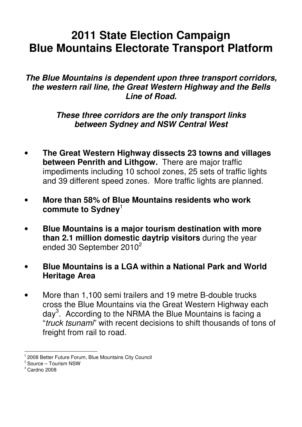# **2011 State Election Campaign Blue Mountains Electorate Transport Platform**

#### **The Blue Mountains is dependent upon three transport corridors, the western rail line, the Great Western Highway and the Bells Line of Road.**

#### **These three corridors are the only transport links between Sydney and NSW Central West**

- **The Great Western Highway dissects 23 towns and villages between Penrith and Lithgow.** There are major traffic impediments including 10 school zones, 25 sets of traffic lights and 39 different speed zones. More traffic lights are planned.
- **More than 58% of Blue Mountains residents who work commute to Sydney**<sup>1</sup>
- **Blue Mountains is a major tourism destination with more than 2.1 million domestic daytrip visitors** during the year ended 30 September 2010<sup>2</sup>
- **Blue Mountains is a LGA within a National Park and World Heritage Area**
- More than 1,100 semi trailers and 19 metre B-double trucks cross the Blue Mountains via the Great Western Highway each day<sup>3</sup>. According to the NRMA the Blue Mountains is facing a "truck tsunami" with recent decisions to shift thousands of tons of freight from rail to road.

 $\overline{\phantom{a}}$  $1$  2008 Better Future Forum, Blue Mountains City Council

<sup>&</sup>lt;sup>2</sup> Source – Tourism NSW

<sup>3</sup> Cardno 2008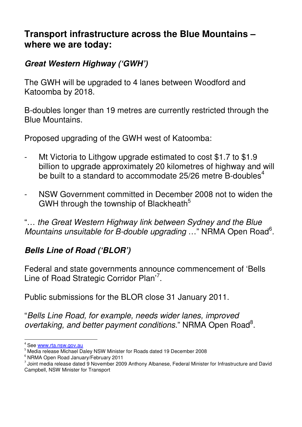### **Transport infrastructure across the Blue Mountains – where we are today:**

### **Great Western Highway ('GWH')**

The GWH will be upgraded to 4 lanes between Woodford and Katoomba by 2018.

B-doubles longer than 19 metres are currently restricted through the Blue Mountains.

Proposed upgrading of the GWH west of Katoomba:

- Mt Victoria to Lithgow upgrade estimated to cost \$1.7 to \$1.9 billion to upgrade approximately 20 kilometres of highway and will be built to a standard to accommodate  $25/26$  metre B-doubles<sup>4</sup>
- NSW Government committed in December 2008 not to widen the GWH through the township of Blackheath<sup>5</sup>

"… the Great Western Highway link between Sydney and the Blue Mountains unsuitable for B-double upgrading ..." NRMA Open Road<sup>6</sup>.

# **Bells Line of Road ('BLOR')**

Federal and state governments announce commencement of 'Bells Line of Road Strategic Corridor Plan'<sup>7</sup>.

Public submissions for the BLOR close 31 January 2011.

"Bells Line Road, for example, needs wider lanes, improved overtaking, and better payment conditions." NRMA Open Road<sup>8</sup>.

 $\overline{\phantom{a}}$ 

See www.rta.nsw.gov.au

<sup>5</sup> Media release Michael Daley NSW Minister for Roads dated 19 December 2008

<sup>6</sup> NRMA Open Road January/February 2011

<sup>7</sup> Joint media release dated 9 November 2009 Anthony Albanese, Federal Minister for Infrastructure and David Campbell, NSW Minister for Transport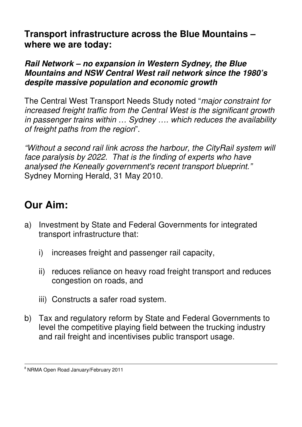**Transport infrastructure across the Blue Mountains – where we are today:** 

#### **Rail Network – no expansion in Western Sydney, the Blue Mountains and NSW Central West rail network since the 1980's despite massive population and economic growth**

The Central West Transport Needs Study noted "major constraint for increased freight traffic from the Central West is the significant growth in passenger trains within … Sydney …. which reduces the availability of freight paths from the region".

"Without a second rail link across the harbour, the CityRail system will face paralysis by 2022. That is the finding of experts who have analysed the Keneally government's recent transport blueprint." Sydney Morning Herald, 31 May 2010.

# **Our Aim:**

- a) Investment by State and Federal Governments for integrated transport infrastructure that:
	- i) increases freight and passenger rail capacity,
	- ii) reduces reliance on heavy road freight transport and reduces congestion on roads, and
	- iii) Constructs a safer road system.
- b) Tax and regulatory reform by State and Federal Governments to level the competitive playing field between the trucking industry and rail freight and incentivises public transport usage.

 $\overline{\phantom{a}}$ 

<sup>&</sup>lt;sup>8</sup> NRMA Open Road January/February 2011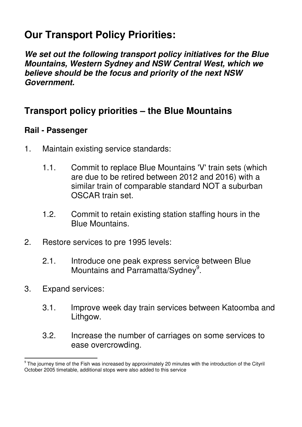# **Our Transport Policy Priorities:**

**We set out the following transport policy initiatives for the Blue Mountains, Western Sydney and NSW Central West, which we believe should be the focus and priority of the next NSW Government.** 

# **Transport policy priorities – the Blue Mountains**

#### **Rail - Passenger**

- 1. Maintain existing service standards:
	- 1.1. Commit to replace Blue Mountains 'V' train sets (which are due to be retired between 2012 and 2016) with a similar train of comparable standard NOT a suburban OSCAR train set.
	- 1.2. Commit to retain existing station staffing hours in the Blue Mountains.
- 2. Restore services to pre 1995 levels:
	- 2.1. Introduce one peak express service between Blue Mountains and Parramatta/Sydney<sup>9</sup>.
- 3. Expand services:

 $\overline{a}$ 

- 3.1. Improve week day train services between Katoomba and Lithgow.
- 3.2. Increase the number of carriages on some services to ease overcrowding.

<sup>&</sup>lt;sup>9</sup> The journey time of the Fish was increased by approximately 20 minutes with the introduction of the Cityril October 2005 timetable, additional stops were also added to this service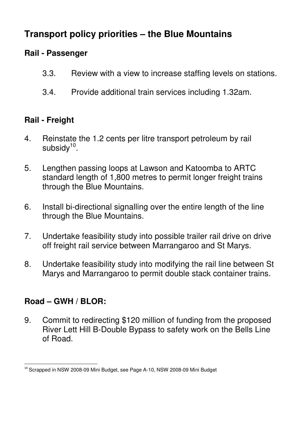# **Transport policy priorities – the Blue Mountains**

### **Rail - Passenger**

- 3.3. Review with a view to increase staffing levels on stations.
- 3.4. Provide additional train services including 1.32am.

## **Rail - Freight**

- 4. Reinstate the 1.2 cents per litre transport petroleum by rail subsidy $10$ .
- 5. Lengthen passing loops at Lawson and Katoomba to ARTC standard length of 1,800 metres to permit longer freight trains through the Blue Mountains.
- 6. Install bi-directional signalling over the entire length of the line through the Blue Mountains.
- 7. Undertake feasibility study into possible trailer rail drive on drive off freight rail service between Marrangaroo and St Marys.
- 8. Undertake feasibility study into modifying the rail line between St Marys and Marrangaroo to permit double stack container trains.

### **Road – GWH / BLOR:**

9. Commit to redirecting \$120 million of funding from the proposed River Lett Hill B-Double Bypass to safety work on the Bells Line of Road.

 $\overline{\phantom{a}}$ <sup>10</sup> Scrapped in NSW 2008-09 Mini Budget, see Page A-10, NSW 2008-09 Mini Budget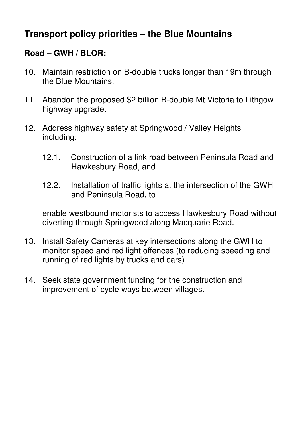# **Transport policy priorities – the Blue Mountains**

### **Road – GWH / BLOR:**

- 10. Maintain restriction on B-double trucks longer than 19m through the Blue Mountains.
- 11. Abandon the proposed \$2 billion B-double Mt Victoria to Lithgow highway upgrade.
- 12. Address highway safety at Springwood / Valley Heights including:
	- 12.1. Construction of a link road between Peninsula Road and Hawkesbury Road, and
	- 12.2. Installation of traffic lights at the intersection of the GWH and Peninsula Road, to

enable westbound motorists to access Hawkesbury Road without diverting through Springwood along Macquarie Road.

- 13. Install Safety Cameras at key intersections along the GWH to monitor speed and red light offences (to reducing speeding and running of red lights by trucks and cars).
- 14. Seek state government funding for the construction and improvement of cycle ways between villages.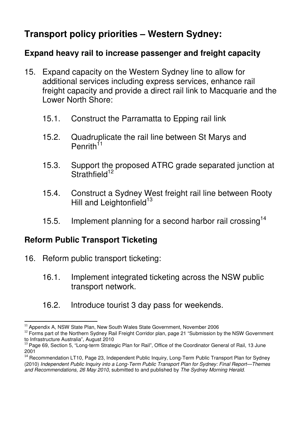# **Transport policy priorities – Western Sydney:**

#### **Expand heavy rail to increase passenger and freight capacity**

- 15. Expand capacity on the Western Sydney line to allow for additional services including express services, enhance rail freight capacity and provide a direct rail link to Macquarie and the Lower North Shore:
	- 15.1. Construct the Parramatta to Epping rail link
	- 15.2. Quadruplicate the rail line between St Marys and Penrith<sup>11</sup>
	- 15.3. Support the proposed ATRC grade separated junction at  $Strathfield<sup>12</sup>$
	- 15.4. Construct a Sydney West freight rail line between Rooty Hill and Leightonfield $13$
	- 15.5. Implement planning for a second harbor rail crossing<sup>14</sup>

#### **Reform Public Transport Ticketing**

- 16. Reform public transport ticketing:
	- 16.1. Implement integrated ticketing across the NSW public transport network.
	- 16.2. Introduce tourist 3 day pass for weekends.

 $\overline{a}$ <sup>11</sup> Appendix A, NSW State Plan, New South Wales State Government, November 2006

<sup>&</sup>lt;sup>12</sup> Forms part of the Northern Sydney Rail Freight Corridor plan, page 21 "Submission by the NSW Government to Infrastructure Australia", August 2010

<sup>&</sup>lt;sup>13</sup> Page 69, Section 5, "Long-term Strategic Plan for Rail", Office of the Coordinator General of Rail, 13 June 2001

<sup>&</sup>lt;sup>14</sup> Recommendation LT10, Page 23, Independent Public Inquiry, Long-Term Public Transport Plan for Sydney (2010) Independent Public Inquiry into a Long-Term Public Transport Plan for Sydney: Final Report—Themes and Recommendations, 26 May 2010, submitted to and published by The Sydney Morning Herald.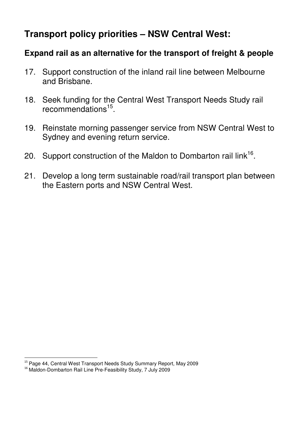# **Transport policy priorities – NSW Central West:**

#### **Expand rail as an alternative for the transport of freight & people**

- 17. Support construction of the inland rail line between Melbourne and Brisbane.
- 18. Seek funding for the Central West Transport Needs Study rail recommendations<sup>15</sup>.
- 19. Reinstate morning passenger service from NSW Central West to Sydney and evening return service.
- 20. Support construction of the Maldon to Dombarton rail link<sup>16</sup>.
- 21. Develop a long term sustainable road/rail transport plan between the Eastern ports and NSW Central West.

l <sup>15</sup> Page 44, Central West Transport Needs Study Summary Report, May 2009

<sup>&</sup>lt;sup>16</sup> Maldon-Dombarton Rail Line Pre-Feasibility Study, 7 July 2009